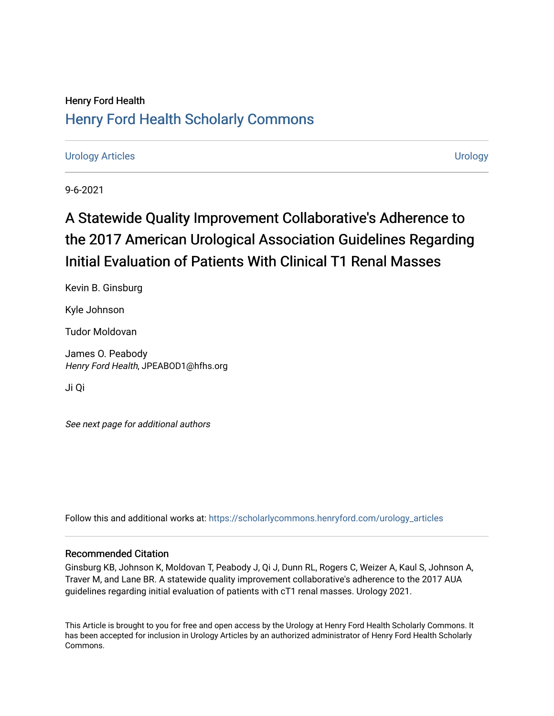## Henry Ford Health [Henry Ford Health Scholarly Commons](https://scholarlycommons.henryford.com/)

[Urology Articles](https://scholarlycommons.henryford.com/urology_articles) [Urology](https://scholarlycommons.henryford.com/urology) 

9-6-2021

# A Statewide Quality Improvement Collaborative's Adherence to the 2017 American Urological Association Guidelines Regarding Initial Evaluation of Patients With Clinical T1 Renal Masses

Kevin B. Ginsburg

Kyle Johnson

Tudor Moldovan

James O. Peabody Henry Ford Health, JPEABOD1@hfhs.org

Ji Qi

See next page for additional authors

Follow this and additional works at: [https://scholarlycommons.henryford.com/urology\\_articles](https://scholarlycommons.henryford.com/urology_articles?utm_source=scholarlycommons.henryford.com%2Furology_articles%2F423&utm_medium=PDF&utm_campaign=PDFCoverPages)

### Recommended Citation

Ginsburg KB, Johnson K, Moldovan T, Peabody J, Qi J, Dunn RL, Rogers C, Weizer A, Kaul S, Johnson A, Traver M, and Lane BR. A statewide quality improvement collaborative's adherence to the 2017 AUA guidelines regarding initial evaluation of patients with cT1 renal masses. Urology 2021.

This Article is brought to you for free and open access by the Urology at Henry Ford Health Scholarly Commons. It has been accepted for inclusion in Urology Articles by an authorized administrator of Henry Ford Health Scholarly Commons.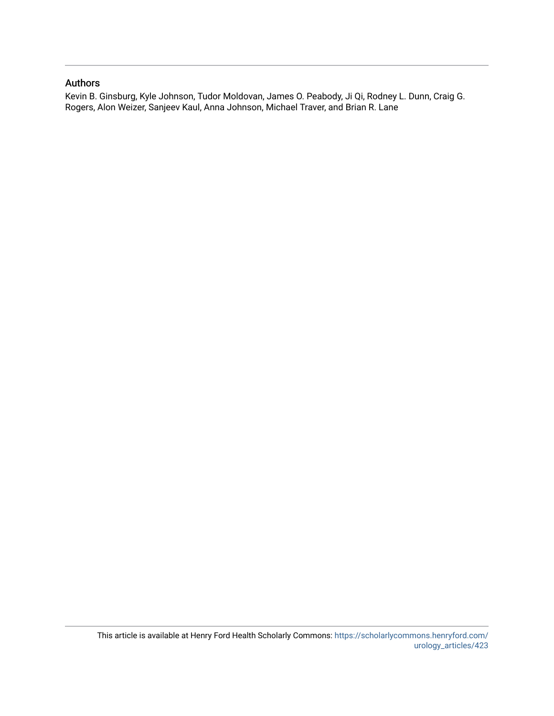### Authors

Kevin B. Ginsburg, Kyle Johnson, Tudor Moldovan, James O. Peabody, Ji Qi, Rodney L. Dunn, Craig G. Rogers, Alon Weizer, Sanjeev Kaul, Anna Johnson, Michael Traver, and Brian R. Lane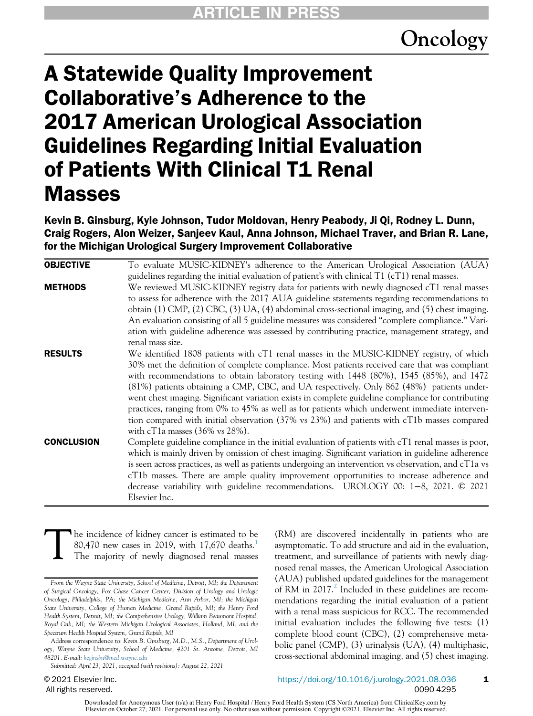# Oncology

# A Statewide Quality Improvement Collaborative's Adherence to the 2017 American Urological Association Guidelines Regarding Initial Evaluation of Patients With Clinical T1 Renal Masses

Kevin B. Ginsburg, Kyle Johnson, Tudor Moldovan, Henry Peabody, Ji Qi, Rodney L. Dunn, Craig Rogers, Alon Weizer, Sanjeev Kaul, Anna Johnson, Michael Traver, and Brian R. Lane, for the Michigan Urological Surgery Improvement Collaborative

| <b>OBJECTIVE</b>  | To evaluate MUSIC-KIDNEY's adherence to the American Urological Association (AUA)                                  |
|-------------------|--------------------------------------------------------------------------------------------------------------------|
|                   | guidelines regarding the initial evaluation of patient's with clinical T1 (cT1) renal masses.                      |
| <b>METHODS</b>    | We reviewed MUSIC-KIDNEY registry data for patients with newly diagnosed cT1 renal masses                          |
|                   | to assess for adherence with the 2017 AUA guideline statements regarding recommendations to                        |
|                   | obtain (1) CMP, (2) CBC, (3) UA, (4) abdominal cross-sectional imaging, and (5) chest imaging.                     |
|                   | An evaluation consisting of all 5 guideline measures was considered "complete compliance." Vari-                   |
|                   | ation with guideline adherence was assessed by contributing practice, management strategy, and<br>renal mass size. |
| <b>RESULTS</b>    | We identified 1808 patients with cT1 renal masses in the MUSIC-KIDNEY registry, of which                           |
|                   | 30% met the definition of complete compliance. Most patients received care that was compliant                      |
|                   | with recommendations to obtain laboratory testing with 1448 (80%), 1545 (85%), and 1472                            |
|                   | (81%) patients obtaining a CMP, CBC, and UA respectively. Only 862 (48%) patients under-                           |
|                   | went chest imaging. Significant variation exists in complete guideline compliance for contributing                 |
|                   | practices, ranging from 0% to 45% as well as for patients which underwent immediate interven-                      |
|                   | tion compared with initial observation (37% vs 23%) and patients with cT1b masses compared                         |
|                   | with cT1a masses $(36\% \text{ vs } 28\%).$                                                                        |
| <b>CONCLUSION</b> | Complete guideline compliance in the initial evaluation of patients with cT1 renal masses is poor,                 |
|                   | which is mainly driven by omission of chest imaging. Significant variation in guideline adherence                  |
|                   | is seen across practices, as well as patients undergoing an intervention vs observation, and cT1a vs               |
|                   | cT1b masses. There are ample quality improvement opportunities to increase adherence and                           |
|                   | decrease variability with guideline recommendations. UROLOGY 00: $1-8$ , 2021. $\odot$ 2021                        |
|                   | Elsevier Inc.                                                                                                      |

Th[e](#page-9-0) incidence of kidney cancer is estimated to be 80,470 new cases in 2019, with 17,670 deaths.<sup>1</sup> The majority of newly diagnosed renal masses 80,470 new cases in 2019, with 17,670 deaths.<sup>1</sup> The majority of newly diagnosed renal masses

Address correspondence to: Kevin B. Ginsburg, M.D., M.S., Department of Urology, Wayne State University, School of Medicine, 4201 St. Antoine, Detroit, MI 48201. E-mail: [keginsbu@med.wayne.edu](mailto:keginsbu@med.wayne.edu)

Submitted: April 23, 2021, accepted (with revisions): August 22, 2021

© 2021 Elsevier Inc. All rights reserved.

nosed renal masses, the American Urological Association (AUA) published updated guidelines for the management of RM in  $2017<sup>2</sup>$  $2017<sup>2</sup>$  Included in these guidelines are recommendations regarding the initial evaluation of a patient with a renal mass suspicious for RCC. The recommended initial evaluation includes the following five tests: (1) complete blood count (CBC), (2) comprehensive metabolic panel (CMP), (3) urinalysis (UA), (4) multiphasic, cross-sectional abdominal imaging, and (5) chest imaging.

(RM) are discovered incidentally in patients who are asymptomatic. To add structure and aid in the evaluation, treatment, and surveillance of patients with newly diag-

From the Wayne State University, School of Medicine, Detroit, MI; the Department of Surgical Oncology, Fox Chase Cancer Center, Division of Urology and Urologic Oncology, Philadelphia, PA; the Michigan Medicine, Ann Arbor, MI; the Michigan State University, College of Human Medicine, Grand Rapids, MI; the Henry Ford Health System, Detroit, MI; the Comprehensive Urology, William Beaumont Hospital, Royal Oak, MI; the Western Michigan Urological Associates, Holland, MI; and the Spectrum Health Hospital System, Grand Rapids, MI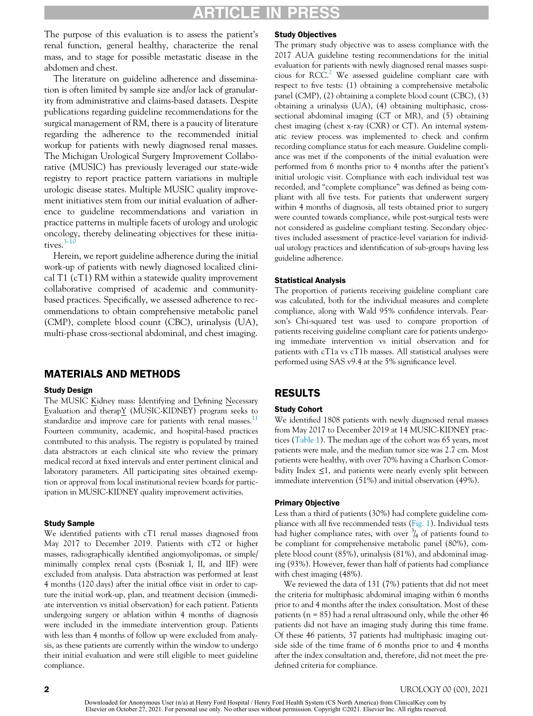### ICLE IN PRES

The purpose of this evaluation is to assess the patient's renal function, general healthy, characterize the renal mass, and to stage for possible metastatic disease in the abdomen and chest.

The literature on guideline adherence and dissemination is often limited by sample size and/or lack of granularity from administrative and claims-based datasets. Despite publications regarding guideline recommendations for the surgical management of RM, there is a paucity of literature regarding the adherence to the recommended initial workup for patients with newly diagnosed renal masses. The Michigan Urological Surgery Improvement Collaborative (MUSIC) has previously leveraged our state-wide registry to report practice pattern variations in multiple urologic disease states. Multiple MUSIC quality improvement initiatives stem from our initial evaluation of adherence to guideline recommendations and variation in practice patterns in multiple facets of urology and urologic oncology, thereby delineating objectives for these initiatives. $3-10$ 

Herein, we report guideline adherence during the initial work-up of patients with newly diagnosed localized clinical T1 (cT1) RM within a statewide quality improvement collaborative comprised of academic and communitybased practices. Specifically, we assessed adherence to recommendations to obtain comprehensive metabolic panel (CMP), complete blood count (CBC), urinalysis (UA), multi-phase cross-sectional abdominal, and chest imaging.

### MATERIALS AND METHODS

#### Study Design

The MUSIC Kidney mass: Identifying and Defining Necessary Evaluation and therapY (MUSIC-KIDNEY) program seeks to standardize and improve care for patients with renal masses.<sup>[11](#page-9-3)</sup> Fourteen community, academic, and hospital-based practices contributed to this analysis. The registry is populated by trained data abstractors at each clinical site who review the primary medical record at fixed intervals and enter pertinent clinical and laboratory parameters. All participating sites obtained exemption or approval from local institutional review boards for participation in MUSIC-KIDNEY quality improvement activities.

#### Study Sample

We identified patients with cT1 renal masses diagnosed from May 2017 to December 2019. Patients with cT2 or higher masses, radiographically identified angiomyolipomas, or simple/ minimally complex renal cysts (Bosniak I, II, and IIF) were excluded from analysis. Data abstraction was performed at least 4 months (120 days) after the initial office visit in order to capture the initial work-up, plan, and treatment decision (immediate intervention vs initial observation) for each patient. Patients undergoing surgery or ablation within 4 months of diagnosis were included in the immediate intervention group. Patients with less than 4 months of follow up were excluded from analysis, as these patients are currently within the window to undergo their initial evaluation and were still eligible to meet guideline compliance.

#### Study Objectives

The primary study objective was to assess compliance with the 2017 AUA guideline testing recommendations for the initial evaluation for patients with newly diagnosed renal masses suspicious for  $RCC<sup>2</sup>$  $RCC<sup>2</sup>$  $RCC<sup>2</sup>$  We assessed guideline compliant care with respect to five tests: (1) obtaining a comprehensive metabolic panel (CMP), (2) obtaining a complete blood count (CBC), (3) obtaining a urinalysis (UA), (4) obtaining multiphasic, crosssectional abdominal imaging (CT or MR), and (5) obtaining chest imaging (chest x-ray (CXR) or CT). An internal systematic review process was implemented to check and confirm recording compliance status for each measure. Guideline compliance was met if the components of the initial evaluation were performed from 6 months prior to 4 months after the patient's initial urologic visit. Compliance with each individual test was recorded, and "complete compliance" was defined as being compliant with all five tests. For patients that underwent surgery within 4 months of diagnosis, all tests obtained prior to surgery were counted towards compliance, while post-surgical tests were not considered as guideline compliant testing. Secondary objectives included assessment of practice-level variation for individual urology practices and identification of sub-groups having less guideline adherence.

#### Statistical Analysis

The proportion of patients receiving guideline compliant care was calculated, both for the individual measures and complete compliance, along with Wald 95% confidence intervals. Pearson's Chi-squared test was used to compare proportion of patients receiving guideline compliant care for patients undergoing immediate intervention vs initial observation and for patients with cT1a vs cT1b masses. All statistical analyses were performed using SAS v9.4 at the 5% significance level.

### RESULTS

#### Study Cohort

We identified 1808 patients with newly diagnosed renal masses from May 2017 to December 2019 at 14 MUSIC-KIDNEY practices ([Table 1](#page-4-0)). The median age of the cohort was 65 years, most patients were male, and the median tumor size was 2.7 cm. Most patients were healthy, with over 70% having a Charlson Comorbidity Index  $\leq 1$ , and patients were nearly evenly split between immediate intervention (51%) and initial observation (49%).

#### Primary Objective

Less than a third of patients (30%) had complete guideline compliance with all five recommended tests [\(Fig. 1](#page-4-1)). Individual tests had higher compliance rates, with over  $\frac{3}{4}$  of patients found to be compliant for comprehensive metabolic panel (80%), complete blood count (85%), urinalysis (81%), and abdominal imaging (93%). However, fewer than half of patients had compliance with chest imaging (48%).

We reviewed the data of 131 (7%) patients that did not meet the criteria for multiphasic abdominal imaging within 6 months prior to and 4 months after the index consultation. Most of these patients ( $n = 85$ ) had a renal ultrasound only, while the other 46 patients did not have an imaging study during this time frame. Of these 46 patients, 37 patients had multiphasic imaging outside side of the time frame of 6 months prior to and 4 months after the index consultation and, therefore, did not meet the predefined criteria for compliance.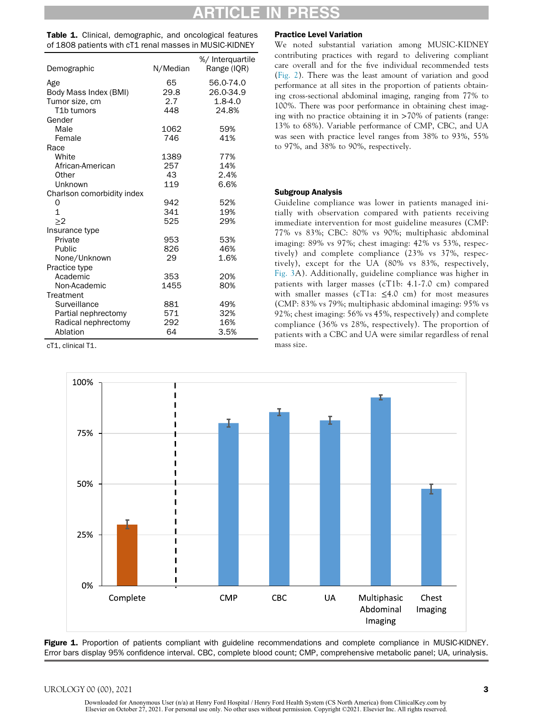<span id="page-4-0"></span>Table 1. Clinical, demographic, and oncological features of 1808 patients with cT1 renal masses in MUSIC-KIDNEY

| Demographic                | N/Median | %/ Interguartile<br>Range (IQR) |
|----------------------------|----------|---------------------------------|
| Age                        | 65       | 56.0-74.0                       |
| Body Mass Index (BMI)      | 29.8     | 26.0-34.9                       |
| Tumor size, cm             | 2.7      | $1.8 - 4.0$                     |
| T <sub>1</sub> b tumors    | 448      | 24.8%                           |
| Gender                     |          |                                 |
| Male                       | 1062     | 59%                             |
| Female                     | 746      | 41%                             |
| Race                       |          |                                 |
| White                      | 1389     | 77%                             |
| African-American           | 257      | 14%                             |
| Other                      | 43       | 2.4%                            |
| Unknown                    | 119      | 6.6%                            |
| Charlson comorbidity index |          |                                 |
| O                          | 942      | 52%                             |
| 1                          | 341      | 19%                             |
| >2                         | 525      | 29%                             |
| Insurance type             |          |                                 |
| Private                    | 953      | 53%                             |
| Public                     | 826      | 46%                             |
| None/Unknown               | 29       | 1.6%                            |
| Practice type              |          |                                 |
| Academic                   | 353      | 20%                             |
| Non-Academic               | 1455     | 80%                             |
| Treatment                  |          |                                 |
| Surveillance               | 881      | 49%                             |
| Partial nephrectomy        | 571      | 32%                             |
| Radical nephrectomy        | 292      | 16%                             |
| Ablation                   | 64       | 3.5%                            |

<span id="page-4-1"></span>cT1, clinical T1.

#### Practice Level Variation

We noted substantial variation among MUSIC-KIDNEY contributing practices with regard to delivering compliant care overall and for the five individual recommended tests ([Fig. 2\)](#page-5-0). There was the least amount of variation and good performance at all sites in the proportion of patients obtaining cross-sectional abdominal imaging, ranging from 77% to 100%. There was poor performance in obtaining chest imaging with no practice obtaining it in >70% of patients (range: 13% to 68%). Variable performance of CMP, CBC, and UA was seen with practice level ranges from 38% to 93%, 55% to 97%, and 38% to 90%, respectively.

#### Subgroup Analysis

Guideline compliance was lower in patients managed initially with observation compared with patients receiving immediate intervention for most guideline measures (CMP: 77% vs 83%; CBC: 80% vs 90%; multiphasic abdominal imaging: 89% vs 97%; chest imaging: 42% vs 53%, respectively) and complete compliance (23% vs 37%, respectively), except for the UA (80% vs 83%, respectively, [Fig. 3](#page-8-0)A). Additionally, guideline compliance was higher in patients with larger masses (cT1b: 4.1-7.0 cm) compared with smaller masses (cT1a:  $\leq$ 4.0 cm) for most measures (CMP: 83% vs 79%; multiphasic abdominal imaging: 95% vs 92%; chest imaging: 56% vs 45%, respectively) and complete compliance (36% vs 28%, respectively). The proportion of patients with a CBC and UA were similar regardless of renal mass size.



Figure 1. Proportion of patients compliant with guideline recommendations and complete compliance in MUSIC-KIDNEY. Error bars display 95% confidence interval. CBC, complete blood count; CMP, comprehensive metabolic panel; UA, urinalysis.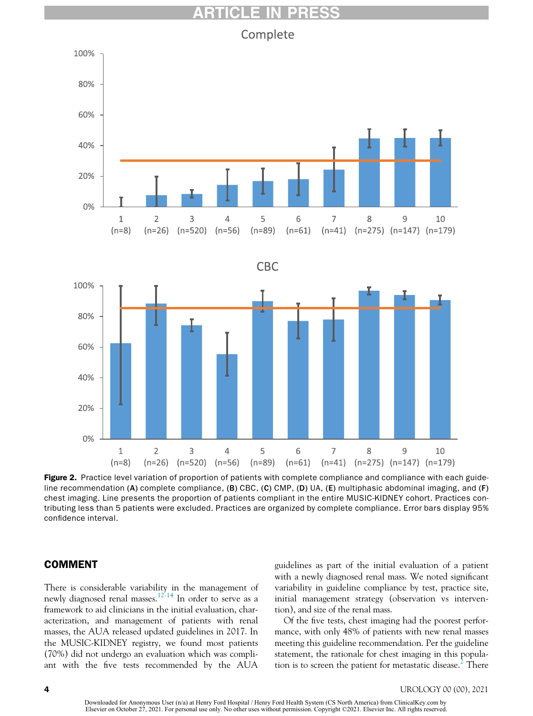Complete

<span id="page-5-0"></span>

Figure 2. Practice level variation of proportion of patients with complete compliance and compliance with each guideline recommendation (A) complete compliance, (B) CBC, (C) CMP, (D) UA, (E) multiphasic abdominal imaging, and (F) chest imaging. Line presents the proportion of patients compliant in the entire MUSIC-KIDNEY cohort. Practices contributing less than 5 patients were excluded. Practices are organized by complete compliance. Error bars display 95% confidence interval.

### COMMENT

There is considerable variability in the management of newly diagnosed renal masses.<sup>[12-14](#page-9-4)</sup> In order to serve as a framework to aid clinicians in the initial evaluation, characterization, and management of patients with renal masses, the AUA released updated guidelines in 2017. In the MUSIC-KIDNEY registry, we found most patients (70%) did not undergo an evaluation which was compliant with the five tests recommended by the AUA guidelines as part of the initial evaluation of a patient with a newly diagnosed renal mass. We noted significant variability in guideline compliance by test, practice site, initial management strategy (observation vs intervention), and size of the renal mass.

Of the five tests, chest imaging had the poorest performance, with only 48% of patients with new renal masses meeting this guideline recommendation. Per the guideline statement, the rationale for chest imaging in this popula-tion is to screen the patient for metastatic disease.<sup>[2](#page-9-1)</sup> There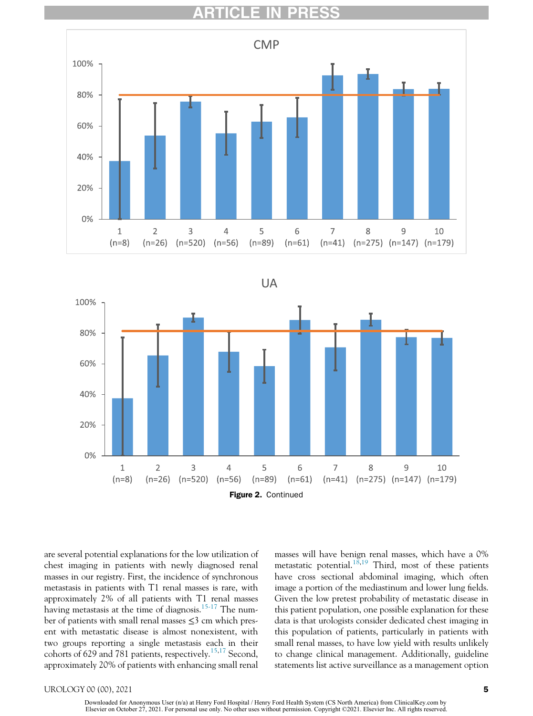





are several potential explanations for the low utilization of chest imaging in patients with newly diagnosed renal masses in our registry. First, the incidence of synchronous metastasis in patients with T1 renal masses is rare, with approximately 2% of all patients with T1 renal masses having metastasis at the time of diagnosis.<sup>[15-17](#page-9-5)</sup> The number of patients with small renal masses ≤3 cm which present with metastatic disease is almost nonexistent, with two groups reporting a single metastasis each in their cohorts of 629 and 781 patients, respectively.<sup>[15](#page-9-5),[17](#page-9-6)</sup> Second, approximately 20% of patients with enhancing small renal

masses will have benign renal masses, which have a 0% metastatic potential.<sup>[18,](#page-9-7)[19](#page-9-8)</sup> Third, most of these patients have cross sectional abdominal imaging, which often image a portion of the mediastinum and lower lung fields. Given the low pretest probability of metastatic disease in this patient population, one possible explanation for these data is that urologists consider dedicated chest imaging in this population of patients, particularly in patients with small renal masses, to have low yield with results unlikely to change clinical management. Additionally, guideline statements list active surveillance as a management option

#### UROLOGY 00 (00), 2021 5

Downloaded for Anonymous User (n/a) at Henry Ford Hospital / Henry Ford Health System (CS North America) from ClinicalKey.com by<br>Elsevier on October 27, 2021. For personal use only. No other uses without permission. Copyri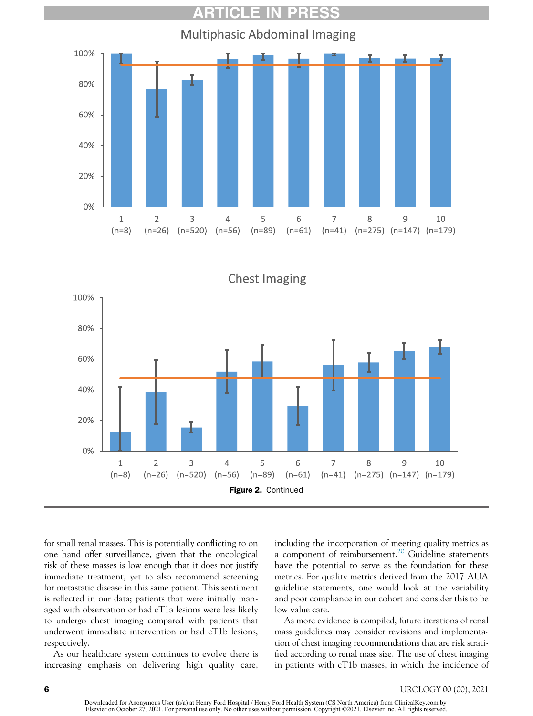

**Chest Imaging** 100% 80% 60% 40% 20% 0%  $\overline{2}$ 3 5 6 7  $\mathbf 1$  $\overline{4}$ 8 9 10  $(n=8)$  $(n=26)$  $(n=520)$  $(n=56)$  $(n=89)$  $(n=61)$  $(n=41)$   $(n=275)$   $(n=147)$   $(n=179)$ Figure 2. Continued

for small renal masses. This is potentially conflicting to on one hand offer surveillance, given that the oncological risk of these masses is low enough that it does not justify immediate treatment, yet to also recommend screening for metastatic disease in this same patient. This sentiment is reflected in our data; patients that were initially managed with observation or had cT1a lesions were less likely to undergo chest imaging compared with patients that underwent immediate intervention or had cT1b lesions, respectively.

As our healthcare system continues to evolve there is increasing emphasis on delivering high quality care,

including the incorporation of meeting quality metrics as a component of reimbursement.<sup>[20](#page-9-9)</sup> Guideline statements have the potential to serve as the foundation for these metrics. For quality metrics derived from the 2017 AUA guideline statements, one would look at the variability and poor compliance in our cohort and consider this to be low value care.

As more evidence is compiled, future iterations of renal mass guidelines may consider revisions and implementation of chest imaging recommendations that are risk stratified according to renal mass size. The use of chest imaging in patients with cT1b masses, in which the incidence of

Downloaded for Anonymous User (n/a) at Henry Ford Hospital / Henry Ford Health System (CS North America) from ClinicalKey.com by<br>Elsevier on October 27, 2021. For personal use only. No other uses without permission. Copyri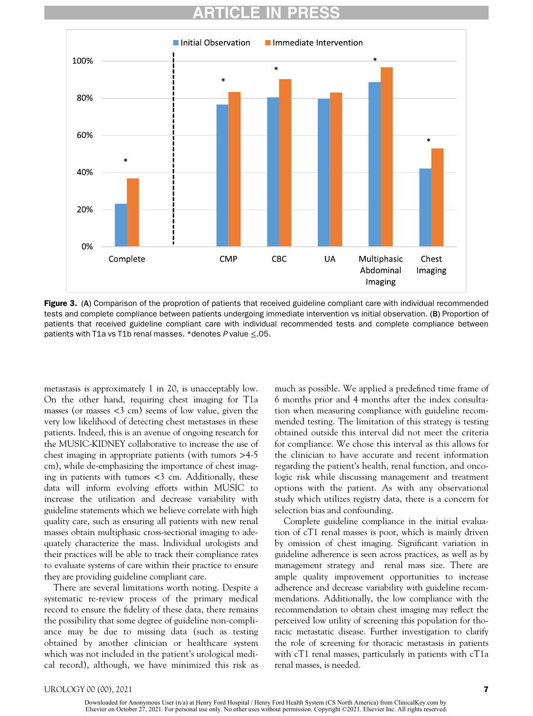<span id="page-8-0"></span>

Figure 3. (A) Comparison of the proprotion of patients that received guideline compliant care with individual recommended tests and complete compliance between patients undergoing immediate intervention vs initial observation. (B) Proportion of patients that received guideline compliant care with individual recommended tests and complete compliance between patients with T1a vs T1b renal masses. \*denotes P value ≤.05.

metastasis is approximately 1 in 20, is unacceptably low. On the other hand, requiring chest imaging for T1a masses (or masses  $\langle 3 \text{ cm} \rangle$  seems of low value, given the very low likelihood of detecting chest metastases in these patients. Indeed, this is an avenue of ongoing research for the MUSIC-KIDNEY collaborative to increase the use of chest imaging in appropriate patients (with tumors >4-5 cm), while de-emphasizing the importance of chest imaging in patients with tumors  $<$ 3 cm. Additionally, these data will inform evolving efforts within MUSIC to increase the utilization and decrease variability with guideline statements which we believe correlate with high quality care, such as ensuring all patients with new renal masses obtain multiphasic cross-sectional imaging to adequately characterize the mass. Individual urologists and their practices will be able to track their compliance rates to evaluate systems of care within their practice to ensure they are providing guideline compliant care.

There are several limitations worth noting. Despite a systematic re-review process of the primary medical record to ensure the fidelity of these data, there remains the possibility that some degree of guideline non-compliance may be due to missing data (such as testing obtained by another clinician or healthcare system which was not included in the patient's urological medical record), although, we have minimized this risk as much as possible. We applied a predefined time frame of 6 months prior and 4 months after the index consultation when measuring compliance with guideline recommended testing. The limitation of this strategy is testing obtained outside this interval did not meet the criteria for compliance. We chose this interval as this allows for the clinician to have accurate and recent information regarding the patient's health, renal function, and oncologic risk while discussing management and treatment options with the patient. As with any observational study which utilizes registry data, there is a concern for selection bias and confounding.

Complete guideline compliance in the initial evaluation of cT1 renal masses is poor, which is mainly driven by omission of chest imaging. Significant variation in guideline adherence is seen across practices, as well as by management strategy and renal mass size. There are ample quality improvement opportunities to increase adherence and decrease variability with guideline recommendations. Additionally, the low compliance with the recommendation to obtain chest imaging may reflect the perceived low utility of screening this population for thoracic metastatic disease. Further investigation to clarify the role of screening for thoracic metastasis in patients with cT1 renal masses, particularly in patients with cT1a renal masses, is needed.